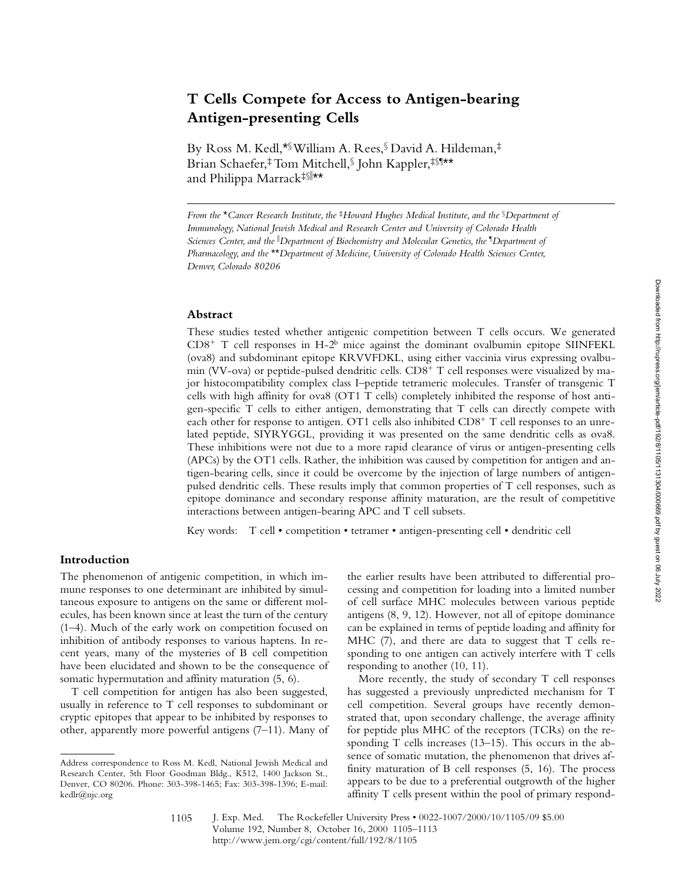Downloaded from http://rupress.org/jem/article-pdf/192/8/1105/1131304/000669.pdf by guest on 06 July 2022

# **T Cells Compete for Access to Antigen-bearing Antigen-presenting Cells**

By Ross M. Kedl,\*§ William A. Rees,§ David A. Hildeman,‡ Brian Schaefer,‡ Tom Mitchell,§ John Kappler,‡§¶\*\* and Philippa Marrack‡§∥\*\*

*From the* \**Cancer Research Institute, the* ‡*Howard Hughes Medical Institute, and the* §*Department of Immunology, National Jewish Medical and Research Center and University of Colorado Health Sciences Center, and the* <sup>i</sup> *Department of Biochemistry and Molecular Genetics, the* ¶ *Department of Pharmacology, and the* \*\**Department of Medicine, University of Colorado Health Sciences Center, Denver, Colorado 80206*

#### **Abstract**

These studies tested whether antigenic competition between T cells occurs. We generated  $CD8<sup>+</sup>$  T cell responses in H-2<sup>b</sup> mice against the dominant ovalbumin epitope SIINFEKL (ova8) and subdominant epitope KRVVFDKL, using either vaccinia virus expressing ovalbumin (VV-ova) or peptide-pulsed dendritic cells.  $CD8<sup>+</sup>$  T cell responses were visualized by major histocompatibility complex class I–peptide tetrameric molecules. Transfer of transgenic T cells with high affinity for ova8 (OT1 T cells) completely inhibited the response of host antigen-specific T cells to either antigen, demonstrating that T cells can directly compete with each other for response to antigen. OT1 cells also inhibited  $CDS^+$  T cell responses to an unrelated peptide, SIYRYGGL, providing it was presented on the same dendritic cells as ova8. These inhibitions were not due to a more rapid clearance of virus or antigen-presenting cells (APCs) by the OT1 cells. Rather, the inhibition was caused by competition for antigen and antigen-bearing cells, since it could be overcome by the injection of large numbers of antigenpulsed dendritic cells. These results imply that common properties of T cell responses, such as epitope dominance and secondary response affinity maturation, are the result of competitive interactions between antigen-bearing APC and T cell subsets.

Key words: T cell • competition • tetramer • antigen-presenting cell • dendritic cell

## **Introduction**

The phenomenon of antigenic competition, in which immune responses to one determinant are inhibited by simultaneous exposure to antigens on the same or different molecules, has been known since at least the turn of the century (1–4). Much of the early work on competition focused on inhibition of antibody responses to various haptens. In recent years, many of the mysteries of B cell competition have been elucidated and shown to be the consequence of somatic hypermutation and affinity maturation (5, 6).

T cell competition for antigen has also been suggested, usually in reference to T cell responses to subdominant or cryptic epitopes that appear to be inhibited by responses to other, apparently more powerful antigens (7–11). Many of the earlier results have been attributed to differential processing and competition for loading into a limited number of cell surface MHC molecules between various peptide antigens (8, 9, 12). However, not all of epitope dominance can be explained in terms of peptide loading and affinity for MHC (7), and there are data to suggest that T cells responding to one antigen can actively interfere with T cells responding to another (10, 11).

More recently, the study of secondary T cell responses has suggested a previously unpredicted mechanism for T cell competition. Several groups have recently demonstrated that, upon secondary challenge, the average affinity for peptide plus MHC of the receptors (TCRs) on the responding T cells increases (13–15). This occurs in the absence of somatic mutation, the phenomenon that drives affinity maturation of B cell responses (5, 16). The process appears to be due to a preferential outgrowth of the higher affinity T cells present within the pool of primary respond-

Address correspondence to Ross M. Kedl, National Jewish Medical and Research Center, 5th Floor Goodman Bldg., K512, 1400 Jackson St., Denver, CO 80206. Phone: 303-398-1465; Fax: 303-398-1396; E-mail: kedlr@njc.org

<sup>1105</sup>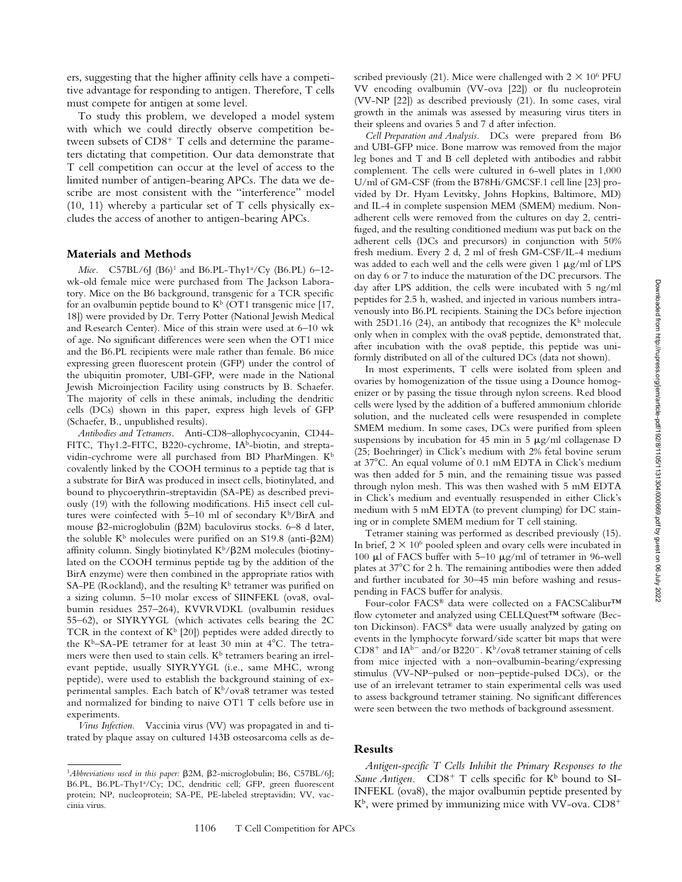ers, suggesting that the higher affinity cells have a competitive advantage for responding to antigen. Therefore, T cells must compete for antigen at some level.

To study this problem, we developed a model system with which we could directly observe competition between subsets of  $CD8<sup>+</sup>$  T cells and determine the parameters dictating that competition. Our data demonstrate that T cell competition can occur at the level of access to the limited number of antigen-bearing APCs. The data we describe are most consistent with the "interference" model (10, 11) whereby a particular set of T cells physically excludes the access of another to antigen-bearing APCs.

#### **Materials and Methods**

Mice. C57BL/6J (B6)<sup>1</sup> and B6.PL-Thy1<sup>a</sup>/Cy (B6.PL) 6–12wk-old female mice were purchased from The Jackson Laboratory. Mice on the B6 background, transgenic for a TCR specific for an ovalbumin peptide bound to  $K^b$  (OT1 transgenic mice [17, 18]) were provided by Dr. Terry Potter (National Jewish Medical and Research Center). Mice of this strain were used at 6–10 wk of age. No significant differences were seen when the OT1 mice and the B6.PL recipients were male rather than female. B6 mice expressing green fluorescent protein (GFP) under the control of the ubiquitin promoter, UBI-GFP, were made in the National Jewish Microinjection Facility using constructs by B. Schaefer. The majority of cells in these animals, including the dendritic cells (DCs) shown in this paper, express high levels of GFP (Schaefer, B., unpublished results).

*Antibodies and Tetramers.* Anti-CD8–allophycocyanin, CD44- FITC, Thy1.2-FITC, B220-cychrome, IA<sup>b</sup>-biotin, and streptavidin-cychrome were all purchased from BD PharMingen. K<sup>b</sup> covalently linked by the COOH terminus to a peptide tag that is a substrate for BirA was produced in insect cells, biotinylated, and bound to phycoerythrin-streptavidin (SA-PE) as described previously (19) with the following modifications. Hi5 insect cell cultures were coinfected with 5–10 ml of secondary  $K^b/BirA$  and mouse  $\beta$ 2-microglobulin ( $\beta$ 2M) baculovirus stocks. 6–8 d later, the soluble  $K^b$  molecules were purified on an S19.8 (anti- $\beta$ 2M) affinity column. Singly biotinylated  $K^b/\beta 2M$  molecules (biotinylated on the COOH terminus peptide tag by the addition of the BirA enzyme) were then combined in the appropriate ratios with SA-PE (Rockland), and the resulting  $K^b$  tetramer was purified on a sizing column. 5–10 molar excess of SIINFEKL (ova8, ovalbumin residues 257–264), KVVRVDKL (ovalbumin residues 55–62), or SIYRYYGL (which activates cells bearing the 2C TCR in the context of  $K^b$  [20]) peptides were added directly to the K<sup>b</sup>–SA-PE tetramer for at least 30 min at  $4^{\circ}$ C. The tetramers were then used to stain cells.  $K^b$  tetramers bearing an irrelevant peptide, usually SIYRYYGL (i.e., same MHC, wrong peptide), were used to establish the background staining of experimental samples. Each batch of  $K^b$ /ova8 tetramer was tested and normalized for binding to naive OT1 T cells before use in experiments.

*Virus Infection.* Vaccinia virus (VV) was propagated in and titrated by plaque assay on cultured 143B osteosarcoma cells as de-

scribed previously (21). Mice were challenged with  $2 \times 10^6$  PFU VV encoding ovalbumin (VV-ova [22]) or flu nucleoprotein (VV-NP [22]) as described previously (21). In some cases, viral growth in the animals was assessed by measuring virus titers in their spleens and ovaries 5 and 7 d after infection.

*Cell Preparation and Analysis.* DCs were prepared from B6 and UBI-GFP mice. Bone marrow was removed from the major leg bones and T and B cell depleted with antibodies and rabbit complement. The cells were cultured in 6-well plates in 1,000 U/ml of GM-CSF (from the B78Hi/GMCSF.1 cell line [23] provided by Dr. Hyam Levitsky, Johns Hopkins, Baltimore, MD) and IL-4 in complete suspension MEM (SMEM) medium. Nonadherent cells were removed from the cultures on day 2, centrifuged, and the resulting conditioned medium was put back on the adherent cells (DCs and precursors) in conjunction with 50% fresh medium. Every 2 d, 2 ml of fresh GM-CSF/IL-4 medium was added to each well and the cells were given  $1 \mu g/ml$  of LPS on day 6 or 7 to induce the maturation of the DC precursors. The day after LPS addition, the cells were incubated with 5 ng/ml peptides for 2.5 h, washed, and injected in various numbers intravenously into B6.PL recipients. Staining the DCs before injection with 25D1.16 (24), an antibody that recognizes the  $K^b$  molecule only when in complex with the ova8 peptide, demonstrated that, after incubation with the ova8 peptide, this peptide was uniformly distributed on all of the cultured DCs (data not shown).

In most experiments, T cells were isolated from spleen and ovaries by homogenization of the tissue using a Dounce homogenizer or by passing the tissue through nylon screens. Red blood cells were lysed by the addition of a buffered ammonium chloride solution, and the nucleated cells were resuspended in complete SMEM medium. In some cases, DCs were purified from spleen suspensions by incubation for 45 min in 5  $\mu$ g/ml collagenase D (25; Boehringer) in Click's medium with 2% fetal bovine serum at  $37^{\circ}$ C. An equal volume of 0.1 mM EDTA in Click's medium was then added for 5 min, and the remaining tissue was passed through nylon mesh. This was then washed with 5 mM EDTA in Click's medium and eventually resuspended in either Click's medium with 5 mM EDTA (to prevent clumping) for DC staining or in complete SMEM medium for T cell staining.

Tetramer staining was performed as described previously (15). In brief,  $2 \times 10^6$  pooled spleen and ovary cells were incubated in 100  $\mu$ l of FACS buffer with 5–10  $\mu$ g/ml of tetramer in 96-well plates at  $37^{\circ}$ C for 2 h. The remaining antibodies were then added and further incubated for 30–45 min before washing and resuspending in FACS buffer for analysis.

Four-color FACS® data were collected on a FACSCalibur™ flow cytometer and analyzed using CELLQuest™ software (Becton Dickinson). FACS® data were usually analyzed by gating on events in the lymphocyte forward/side scatter bit maps that were  $CD8^+$  and IA<sup>b-</sup> and/or B220<sup>-</sup>. K<sup>b</sup>/ova8 tetramer staining of cells from mice injected with a non–ovalbumin-bearing/expressing stimulus (VV-NP–pulsed or non–peptide-pulsed DCs), or the use of an irrelevant tetramer to stain experimental cells was used to assess background tetramer staining. No significant differences were seen between the two methods of background assessment.

## **Results**

*Antigen-specific T Cells Inhibit the Primary Responses to the Same Antigen.*  $CD8^+$  T cells specific for  $K^b$  bound to SI-INFEKL (ova8), the major ovalbumin peptide presented by  $K^b$ , were primed by immunizing mice with VV-ova.  $CD8^+$ 

<sup>&</sup>lt;sup>1</sup>Abbreviations used in this paper:  $\beta$ 2M,  $\beta$ 2-microglobulin; B6, C57BL/6J; B6.PL, B6.PL-Thy1<sup>a</sup>/Cy; DC, dendritic cell; GFP, green fluorescent protein; NP, nucleoprotein; SA-PE, PE-labeled streptavidin; VV, vaccinia virus.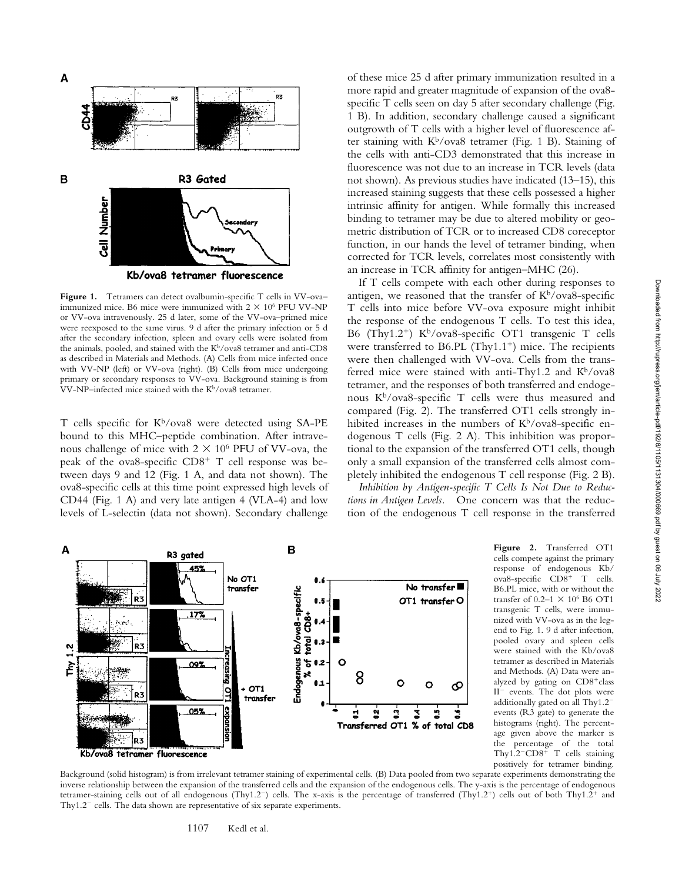

Figure 1. Tetramers can detect ovalbumin-specific T cells in VV-ovaimmunized mice. B6 mice were immunized with  $2 \times 10^6$  PFU VV-NP or VV-ova intravenously. 25 d later, some of the VV-ova–primed mice were reexposed to the same virus. 9 d after the primary infection or 5 d after the secondary infection, spleen and ovary cells were isolated from the animals, pooled, and stained with the  $K^b/\text{ova8}$  tetramer and anti-CD8 as described in Materials and Methods. (A) Cells from mice infected once with VV-NP (left) or VV-ova (right). (B) Cells from mice undergoing primary or secondary responses to VV-ova. Background staining is from VV-NP–infected mice stained with the K<sup>b</sup>/ova8 tetramer.

T cells specific for K<sup>b</sup>/ova8 were detected using SA-PE bound to this MHC–peptide combination. After intravenous challenge of mice with  $2 \times 10^6$  PFU of VV-ova, the peak of the ova8-specific  $CD8<sup>+</sup>$  T cell response was between days 9 and 12 (Fig. 1 A, and data not shown). The ova8-specific cells at this time point expressed high levels of CD44 (Fig. 1 A) and very late antigen 4 (VLA-4) and low levels of L-selectin (data not shown). Secondary challenge

of these mice 25 d after primary immunization resulted in a more rapid and greater magnitude of expansion of the ova8 specific T cells seen on day 5 after secondary challenge (Fig. 1 B). In addition, secondary challenge caused a significant outgrowth of T cells with a higher level of fluorescence after staining with  $K^b$ /ova8 tetramer (Fig. 1 B). Staining of the cells with anti-CD3 demonstrated that this increase in fluorescence was not due to an increase in TCR levels (data not shown). As previous studies have indicated (13–15), this increased staining suggests that these cells possessed a higher intrinsic affinity for antigen. While formally this increased binding to tetramer may be due to altered mobility or geometric distribution of TCR or to increased CD8 coreceptor function, in our hands the level of tetramer binding, when corrected for TCR levels, correlates most consistently with an increase in TCR affinity for antigen–MHC (26).

If T cells compete with each other during responses to antigen, we reasoned that the transfer of  $K^b$ /ova8-specific T cells into mice before VV-ova exposure might inhibit the response of the endogenous T cells. To test this idea, B6 (Thy1.2<sup>+</sup>) K<sup>b</sup>/ova8-specific OT1 transgenic T cells were transferred to B6.PL  $(Thy1.1^+)$  mice. The recipients were then challenged with VV-ova. Cells from the transferred mice were stained with anti-Thy1.2 and  $K^b$ /ova8 tetramer, and the responses of both transferred and endogenous Kb/ova8-specific T cells were thus measured and compared (Fig. 2). The transferred OT1 cells strongly inhibited increases in the numbers of  $K^b$ /ova8-specific endogenous T cells (Fig. 2 A). This inhibition was proportional to the expansion of the transferred OT1 cells, though only a small expansion of the transferred cells almost completely inhibited the endogenous T cell response (Fig. 2 B).

*Inhibition by Antigen-specific T Cells Is Not Due to Reductions in Antigen Levels.* One concern was that the reduction of the endogenous T cell response in the transferred



**Figure 2.** Transferred OT1 cells compete against the primary response of endogenous Kb/  $ova8$ -specific  $CD8$ <sup>+</sup> T cells. B6.PL mice, with or without the transfer of  $0.2-1 \times 10^6$  B6 OT1 transgenic T cells, were immunized with VV-ova as in the legend to Fig. 1. 9 d after infection, pooled ovary and spleen cells were stained with the Kb/ova8 tetramer as described in Materials and Methods. (A) Data were analyzed by gating on  $CD8<sup>+</sup>$ class  $II^-$  events. The dot plots were additionally gated on all Thy $1.2$ events (R3 gate) to generate the histograms (right). The percentage given above the marker is the percentage of the total Thy $1.2$ <sup>-</sup>CD8<sup>+</sup> T cells staining positively for tetramer binding.

Background (solid histogram) is from irrelevant tetramer staining of experimental cells. (B) Data pooled from two separate experiments demonstrating the inverse relationship between the expansion of the transferred cells and the expansion of the endogenous cells. The y-axis is the percentage of endogenous tetramer-staining cells out of all endogenous (Thy1.2<sup>-</sup>) cells. The x-axis is the percentage of transferred (Thy1.2<sup>+</sup>) cells out of both Thy1.2<sup>+</sup> and Thy $1.2^-$  cells. The data shown are representative of six separate experiments.

1107 Kedl et al.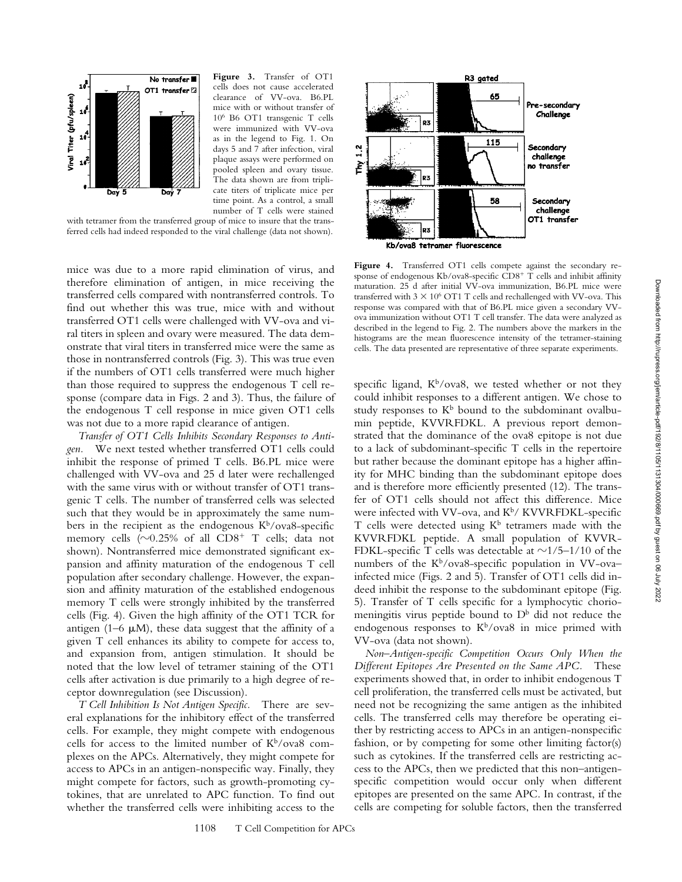

**Figure 3.** Transfer of OT1 cells does not cause accelerated clearance of VV-ova. B6.PL mice with or without transfer of 106 B6 OT1 transgenic T cells were immunized with VV-ova as in the legend to Fig. 1. On days 5 and 7 after infection, viral plaque assays were performed on pooled spleen and ovary tissue. The data shown are from triplicate titers of triplicate mice per time point. As a control, a small number of T cells were stained

with tetramer from the transferred group of mice to insure that the transferred cells had indeed responded to the viral challenge (data not shown).

mice was due to a more rapid elimination of virus, and therefore elimination of antigen, in mice receiving the transferred cells compared with nontransferred controls. To find out whether this was true, mice with and without transferred OT1 cells were challenged with VV-ova and viral titers in spleen and ovary were measured. The data demonstrate that viral titers in transferred mice were the same as those in nontransferred controls (Fig. 3). This was true even if the numbers of OT1 cells transferred were much higher than those required to suppress the endogenous T cell response (compare data in Figs. 2 and 3). Thus, the failure of the endogenous T cell response in mice given OT1 cells was not due to a more rapid clearance of antigen.

*Transfer of OT1 Cells Inhibits Secondary Responses to Antigen.* We next tested whether transferred OT1 cells could inhibit the response of primed T cells. B6.PL mice were challenged with VV-ova and 25 d later were rechallenged with the same virus with or without transfer of OT1 transgenic T cells. The number of transferred cells was selected such that they would be in approximately the same numbers in the recipient as the endogenous  $K^b$ /ova8-specific memory cells ( $\sim$ 0.25% of all CD8<sup>+</sup> T cells; data not shown). Nontransferred mice demonstrated significant expansion and affinity maturation of the endogenous T cell population after secondary challenge. However, the expansion and affinity maturation of the established endogenous memory T cells were strongly inhibited by the transferred cells (Fig. 4). Given the high affinity of the OT1 TCR for antigen (1–6  $\mu$ M), these data suggest that the affinity of a given T cell enhances its ability to compete for access to, and expansion from, antigen stimulation. It should be noted that the low level of tetramer staining of the OT1 cells after activation is due primarily to a high degree of receptor downregulation (see Discussion).

*T Cell Inhibition Is Not Antigen Specific.* There are several explanations for the inhibitory effect of the transferred cells. For example, they might compete with endogenous cells for access to the limited number of  $K^b$ /ova8 complexes on the APCs. Alternatively, they might compete for access to APCs in an antigen-nonspecific way. Finally, they might compete for factors, such as growth-promoting cytokines, that are unrelated to APC function. To find out whether the transferred cells were inhibiting access to the



**Figure 4.** Transferred OT1 cells compete against the secondary response of endogenous Kb/ova8-specific  $CD8^+$  T cells and inhibit affinity maturation. 25 d after initial VV-ova immunization, B6.PL mice were transferred with  $3 \times 10^6$  OT1 T cells and rechallenged with VV-ova. This response was compared with that of B6.PL mice given a secondary VVova immunization without OT1 T cell transfer. The data were analyzed as described in the legend to Fig. 2. The numbers above the markers in the histograms are the mean fluorescence intensity of the tetramer-staining cells. The data presented are representative of three separate experiments.

specific ligand,  $K<sup>b</sup>/ova8$ , we tested whether or not they could inhibit responses to a different antigen. We chose to study responses to  $K^b$  bound to the subdominant ovalbumin peptide, KVVRFDKL. A previous report demonstrated that the dominance of the ova8 epitope is not due to a lack of subdominant-specific T cells in the repertoire but rather because the dominant epitope has a higher affinity for MHC binding than the subdominant epitope does and is therefore more efficiently presented (12). The transfer of OT1 cells should not affect this difference. Mice were infected with VV-ova, and  $K^b$ / KVVRFDKL-specific T cells were detected using  $K^b$  tetramers made with the KVVRFDKL peptide. A small population of KVVR-FDKL-specific T cells was detectable at  $\sim$ 1/5–1/10 of the numbers of the  $K^b$ /ova8-specific population in VV-ovainfected mice (Figs. 2 and 5). Transfer of OT1 cells did indeed inhibit the response to the subdominant epitope (Fig. 5). Transfer of T cells specific for a lymphocytic choriomeningitis virus peptide bound to  $D^b$  did not reduce the endogenous responses to  $K^b$ /ova8 in mice primed with VV-ova (data not shown).

*Non–Antigen-specific Competition Occurs Only When the Different Epitopes Are Presented on the Same APC.* These experiments showed that, in order to inhibit endogenous T cell proliferation, the transferred cells must be activated, but need not be recognizing the same antigen as the inhibited cells. The transferred cells may therefore be operating either by restricting access to APCs in an antigen-nonspecific fashion, or by competing for some other limiting factor(s) such as cytokines. If the transferred cells are restricting access to the APCs, then we predicted that this non–antigenspecific competition would occur only when different epitopes are presented on the same APC. In contrast, if the cells are competing for soluble factors, then the transferred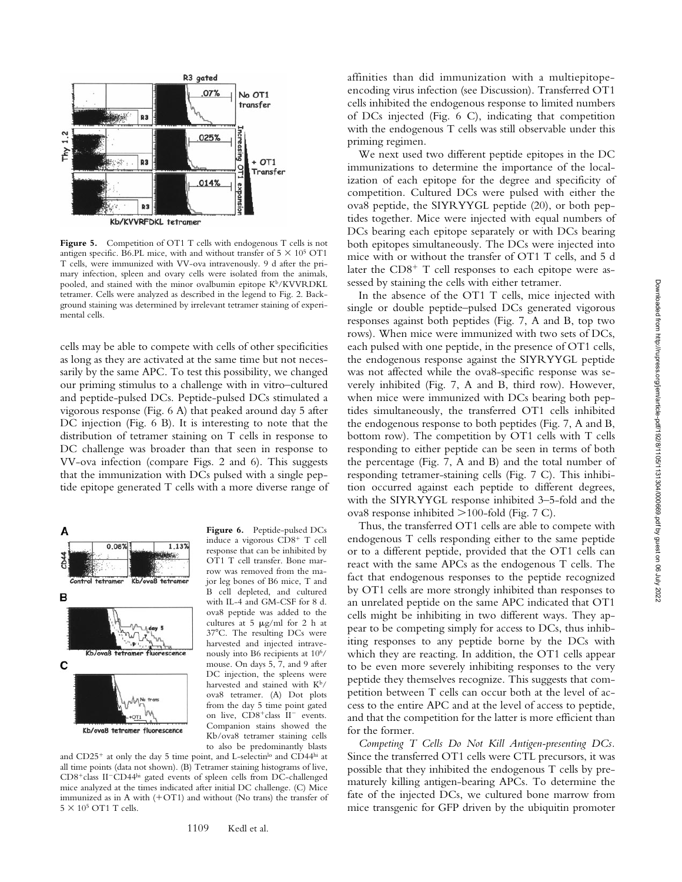

Figure 5. Competition of OT1 T cells with endogenous T cells is not antigen specific. B6.PL mice, with and without transfer of  $5 \times 10^5$  OT1 T cells, were immunized with VV-ova intravenously. 9 d after the primary infection, spleen and ovary cells were isolated from the animals, pooled, and stained with the minor ovalbumin epitope  $K^b/KVVRDKL$ tetramer. Cells were analyzed as described in the legend to Fig. 2. Background staining was determined by irrelevant tetramer staining of experimental cells.

cells may be able to compete with cells of other specificities as long as they are activated at the same time but not necessarily by the same APC. To test this possibility, we changed our priming stimulus to a challenge with in vitro–cultured and peptide-pulsed DCs. Peptide-pulsed DCs stimulated a vigorous response (Fig. 6 A) that peaked around day 5 after DC injection (Fig. 6 B). It is interesting to note that the distribution of tetramer staining on T cells in response to DC challenge was broader than that seen in response to VV-ova infection (compare Figs. 2 and 6). This suggests that the immunization with DCs pulsed with a single peptide epitope generated T cells with a more diverse range of



**Figure 6.** Peptide-pulsed DCs induce a vigorous CD8<sup>+</sup> T cell response that can be inhibited by OT1 T cell transfer. Bone marrow was removed from the major leg bones of B6 mice, T and B cell depleted, and cultured with IL-4 and GM-CSF for 8 d. ova8 peptide was added to the cultures at  $5 \mu g/ml$  for 2 h at 37°C. The resulting DCs were harvested and injected intravenously into B6 recipients at 106/ mouse. On days 5, 7, and 9 after DC injection, the spleens were harvested and stained with Kb/ ova8 tetramer. (A) Dot plots from the day 5 time point gated on live, CD8+class II<sup>-</sup> events. Companion stains showed the Kb/ova8 tetramer staining cells to also be predominantly blasts

and CD25<sup>+</sup> at only the day 5 time point, and L-selectin<sup>lo</sup> and CD44<sup>hi</sup> at all time points (data not shown). (B) Tetramer staining histograms of live, CD8<sup>+</sup>class II<sup>-</sup>CD44hi gated events of spleen cells from DC-challenged mice analyzed at the times indicated after initial DC challenge. (C) Mice immunized as in A with  $(+OT1)$  and without (No trans) the transfer of  $5 \times 10^5$  OT1 T cells.

affinities than did immunization with a multiepitopeencoding virus infection (see Discussion). Transferred OT1 cells inhibited the endogenous response to limited numbers of DCs injected (Fig. 6 C), indicating that competition with the endogenous T cells was still observable under this priming regimen.

We next used two different peptide epitopes in the DC immunizations to determine the importance of the localization of each epitope for the degree and specificity of competition. Cultured DCs were pulsed with either the ova8 peptide, the SIYRYYGL peptide (20), or both peptides together. Mice were injected with equal numbers of DCs bearing each epitope separately or with DCs bearing both epitopes simultaneously. The DCs were injected into mice with or without the transfer of OT1 T cells, and 5 d later the  $CD8<sup>+</sup>$  T cell responses to each epitope were assessed by staining the cells with either tetramer.

In the absence of the OT1 T cells, mice injected with single or double peptide–pulsed DCs generated vigorous responses against both peptides (Fig. 7, A and B, top two rows). When mice were immunized with two sets of DCs, each pulsed with one peptide, in the presence of OT1 cells, the endogenous response against the SIYRYYGL peptide was not affected while the ova8-specific response was severely inhibited (Fig. 7, A and B, third row). However, when mice were immunized with DCs bearing both peptides simultaneously, the transferred OT1 cells inhibited the endogenous response to both peptides (Fig. 7, A and B, bottom row). The competition by OT1 cells with T cells responding to either peptide can be seen in terms of both the percentage (Fig. 7, A and B) and the total number of responding tetramer-staining cells (Fig. 7 C). This inhibition occurred against each peptide to different degrees, with the SIYRYYGL response inhibited 3–5-fold and the ova8 response inhibited  $>100$ -fold (Fig. 7 C).

Thus, the transferred OT1 cells are able to compete with endogenous T cells responding either to the same peptide or to a different peptide, provided that the OT1 cells can react with the same APCs as the endogenous T cells. The fact that endogenous responses to the peptide recognized by OT1 cells are more strongly inhibited than responses to an unrelated peptide on the same APC indicated that OT1 cells might be inhibiting in two different ways. They appear to be competing simply for access to DCs, thus inhibiting responses to any peptide borne by the DCs with which they are reacting. In addition, the OT1 cells appear to be even more severely inhibiting responses to the very peptide they themselves recognize. This suggests that competition between T cells can occur both at the level of access to the entire APC and at the level of access to peptide, and that the competition for the latter is more efficient than for the former.

*Competing T Cells Do Not Kill Antigen-presenting DCs.* Since the transferred OT1 cells were CTL precursors, it was possible that they inhibited the endogenous T cells by prematurely killing antigen-bearing APCs. To determine the fate of the injected DCs, we cultured bone marrow from mice transgenic for GFP driven by the ubiquitin promoter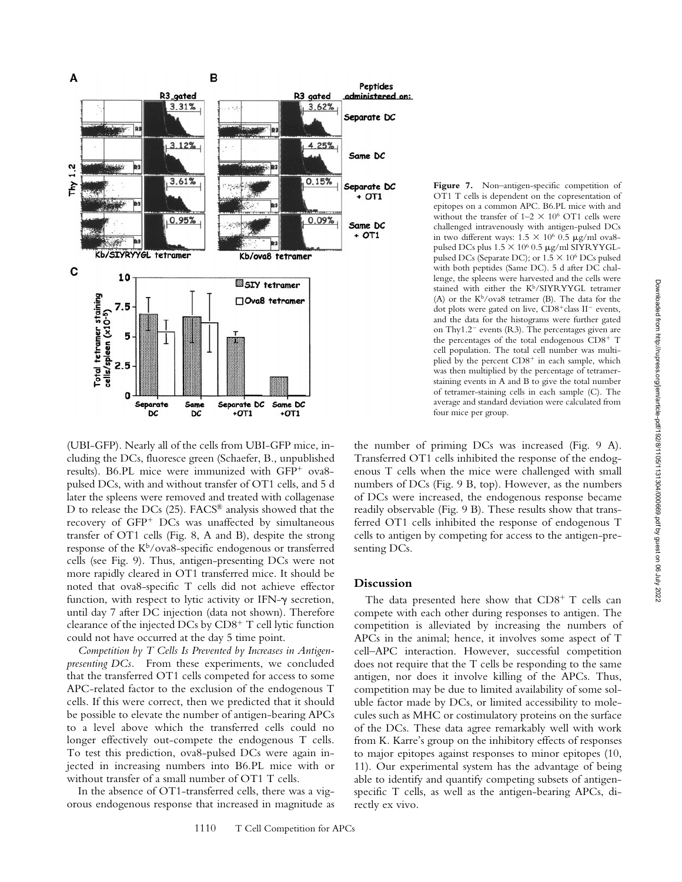

(UBI-GFP). Nearly all of the cells from UBI-GFP mice, including the DCs, fluoresce green (Schaefer, B., unpublished results). B6.PL mice were immunized with GFP<sup>+</sup> ova8pulsed DCs, with and without transfer of OT1 cells, and 5 d later the spleens were removed and treated with collagenase D to release the DCs (25). FACS® analysis showed that the recovery of  $GFP$ <sup>+</sup> DCs was unaffected by simultaneous transfer of OT1 cells (Fig. 8, A and B), despite the strong response of the Kb/ova8-specific endogenous or transferred cells (see Fig. 9). Thus, antigen-presenting DCs were not more rapidly cleared in OT1 transferred mice. It should be noted that ova8-specific T cells did not achieve effector function, with respect to lytic activity or IFN- $\gamma$  secretion, until day 7 after DC injection (data not shown). Therefore clearance of the injected DCs by  $CDS^+$  T cell lytic function could not have occurred at the day 5 time point.

*Competition by T Cells Is Prevented by Increases in Antigenpresenting DCs.* From these experiments, we concluded that the transferred OT1 cells competed for access to some APC-related factor to the exclusion of the endogenous T cells. If this were correct, then we predicted that it should be possible to elevate the number of antigen-bearing APCs to a level above which the transferred cells could no longer effectively out-compete the endogenous T cells. To test this prediction, ova8-pulsed DCs were again injected in increasing numbers into B6.PL mice with or without transfer of a small number of OT1 T cells.

In the absence of OT1-transferred cells, there was a vigorous endogenous response that increased in magnitude as

challenged intravenously with antigen-pulsed DCs in two different ways:  $1.5 \times 10^6$  0.5 µg/ml ova8pulsed DCs plus  $1.5 \times 10^6$  0.5 µg/ml SIYRYYGLpulsed DCs (Separate DC); or  $1.5 \times 10^6$  DCs pulsed with both peptides (Same DC). 5 d after DC challenge, the spleens were harvested and the cells were stained with either the Kb/SIYRYYGL tetramer (A) or the  $K^b$ /ova8 tetramer (B). The data for the dot plots were gated on live, CD8<sup>+</sup>class II<sup>-</sup> events, and the data for the histograms were further gated on Thy $1.2^-$  events (R3). The percentages given are the percentages of the total endogenous  $CD8^+$  T cell population. The total cell number was multiplied by the percent  $CD8<sup>+</sup>$  in each sample, which was then multiplied by the percentage of tetramerstaining events in A and B to give the total number of tetramer-staining cells in each sample (C). The average and standard deviation were calculated from four mice per group. the number of priming DCs was increased (Fig. 9 A).

Figure 7. Non-antigen-specific competition of OT1 T cells is dependent on the copresentation of epitopes on a common APC. B6.PL mice with and without the transfer of  $1-2 \times 10^6$  OT1 cells were

Transferred OT1 cells inhibited the response of the endogenous T cells when the mice were challenged with small numbers of DCs (Fig. 9 B, top). However, as the numbers of DCs were increased, the endogenous response became readily observable (Fig. 9 B). These results show that transferred OT1 cells inhibited the response of endogenous T cells to antigen by competing for access to the antigen-presenting DCs.

### **Discussion**

The data presented here show that  $CD8^+$  T cells can compete with each other during responses to antigen. The competition is alleviated by increasing the numbers of APCs in the animal; hence, it involves some aspect of T cell–APC interaction. However, successful competition does not require that the T cells be responding to the same antigen, nor does it involve killing of the APCs. Thus, competition may be due to limited availability of some soluble factor made by DCs, or limited accessibility to molecules such as MHC or costimulatory proteins on the surface of the DCs. These data agree remarkably well with work from K. Karre's group on the inhibitory effects of responses to major epitopes against responses to minor epitopes (10, 11). Our experimental system has the advantage of being able to identify and quantify competing subsets of antigenspecific T cells, as well as the antigen-bearing APCs, directly ex vivo.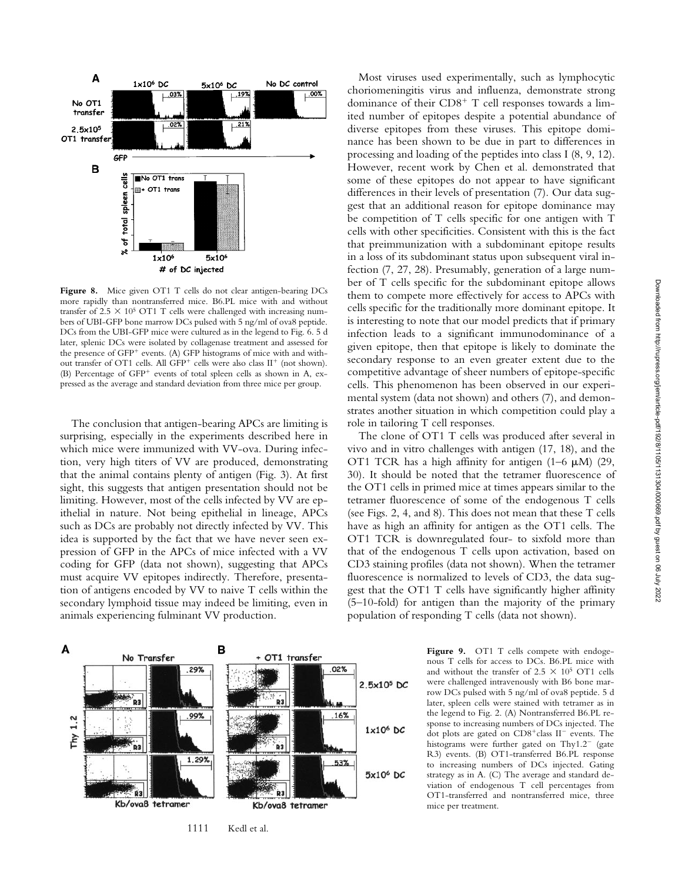

Figure 8. Mice given OT1 T cells do not clear antigen-bearing DCs more rapidly than nontransferred mice. B6.PL mice with and without transfer of  $2.5 \times 10^5$  OT1 T cells were challenged with increasing numbers of UBI-GFP bone marrow DCs pulsed with 5 ng/ml of ova8 peptide. DCs from the UBI-GFP mice were cultured as in the legend to Fig. 6. 5 d later, splenic DCs were isolated by collagenase treatment and assessed for the presence of  $GFP^+$  events. (A)  $GFP$  histograms of mice with and without transfer of OT1 cells. All GFP<sup>+</sup> cells were also class  $II^+$  (not shown). (B) Percentage of GFP<sup>+</sup> events of total spleen cells as shown in A, expressed as the average and standard deviation from three mice per group.

The conclusion that antigen-bearing APCs are limiting is surprising, especially in the experiments described here in which mice were immunized with VV-ova. During infection, very high titers of VV are produced, demonstrating that the animal contains plenty of antigen (Fig. 3). At first sight, this suggests that antigen presentation should not be limiting. However, most of the cells infected by VV are epithelial in nature. Not being epithelial in lineage, APCs such as DCs are probably not directly infected by VV. This idea is supported by the fact that we have never seen expression of GFP in the APCs of mice infected with a VV coding for GFP (data not shown), suggesting that APCs must acquire VV epitopes indirectly. Therefore, presentation of antigens encoded by VV to naive T cells within the secondary lymphoid tissue may indeed be limiting, even in animals experiencing fulminant VV production.



role in tailoring T cell responses. The clone of OT1 T cells was produced after several in vivo and in vitro challenges with antigen (17, 18), and the OT1 TCR has a high affinity for antigen  $(1-6 \mu M)$   $(29, 12)$ 30). It should be noted that the tetramer fluorescence of the OT1 cells in primed mice at times appears similar to the tetramer fluorescence of some of the endogenous T cells (see Figs. 2, 4, and 8). This does not mean that these T cells have as high an affinity for antigen as the OT1 cells. The OT1 TCR is downregulated four- to sixfold more than that of the endogenous T cells upon activation, based on CD3 staining profiles (data not shown). When the tetramer fluorescence is normalized to levels of CD3, the data suggest that the OT1 T cells have significantly higher affinity (5–10-fold) for antigen than the majority of the primary population of responding T cells (data not shown).



Figure 9. OT1 T cells compete with endogenous T cells for access to DCs. B6.PL mice with and without the transfer of  $2.5 \times 10^5$  OT1 cells were challenged intravenously with B6 bone marrow DCs pulsed with 5 ng/ml of ova8 peptide. 5 d later, spleen cells were stained with tetramer as in the legend to Fig. 2. (A) Nontransferred B6.PL response to increasing numbers of DCs injected. The dot plots are gated on  $CD8^+$ class II<sup>-</sup> events. The histograms were further gated on  $Thy1.2^-$  (gate R3) events. (B) OT1-transferred B6.PL response to increasing numbers of DCs injected. Gating strategy as in A. (C) The average and standard deviation of endogenous T cell percentages from OT1-transferred and nontransferred mice, three mice per treatment.

#### 1111 Kedl et al.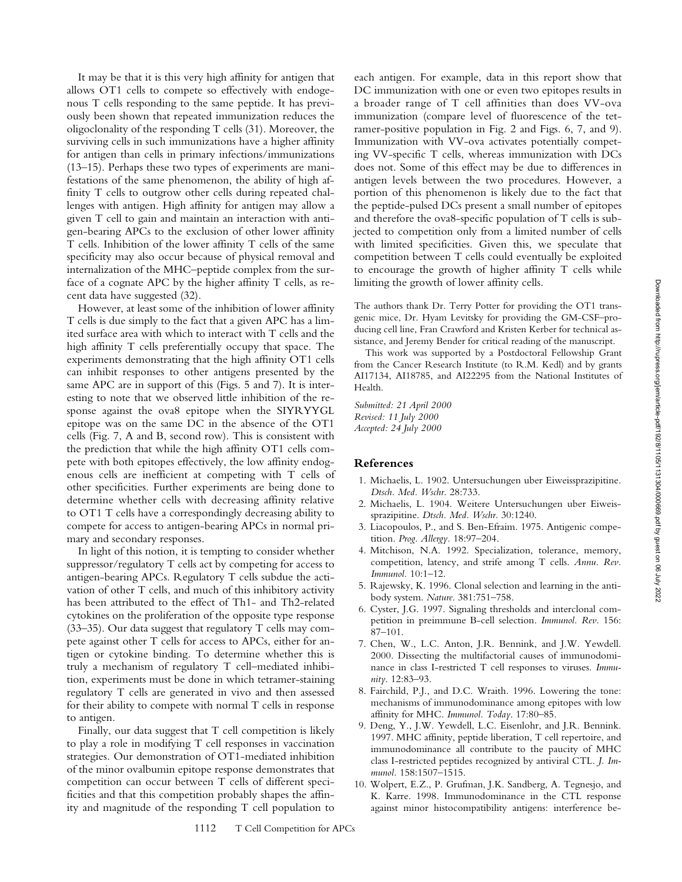It may be that it is this very high affinity for antigen that allows OT1 cells to compete so effectively with endogenous T cells responding to the same peptide. It has previously been shown that repeated immunization reduces the oligoclonality of the responding T cells (31). Moreover, the surviving cells in such immunizations have a higher affinity for antigen than cells in primary infections/immunizations (13–15). Perhaps these two types of experiments are manifestations of the same phenomenon, the ability of high affinity T cells to outgrow other cells during repeated challenges with antigen. High affinity for antigen may allow a given T cell to gain and maintain an interaction with antigen-bearing APCs to the exclusion of other lower affinity T cells. Inhibition of the lower affinity T cells of the same specificity may also occur because of physical removal and internalization of the MHC–peptide complex from the surface of a cognate APC by the higher affinity T cells, as recent data have suggested (32).

However, at least some of the inhibition of lower affinity T cells is due simply to the fact that a given APC has a limited surface area with which to interact with T cells and the high affinity T cells preferentially occupy that space. The experiments demonstrating that the high affinity OT1 cells can inhibit responses to other antigens presented by the same APC are in support of this (Figs. 5 and 7). It is interesting to note that we observed little inhibition of the response against the ova8 epitope when the SIYRYYGL epitope was on the same DC in the absence of the OT1 cells (Fig. 7, A and B, second row). This is consistent with the prediction that while the high affinity OT1 cells compete with both epitopes effectively, the low affinity endogenous cells are inefficient at competing with T cells of other specificities. Further experiments are being done to determine whether cells with decreasing affinity relative to OT1 T cells have a correspondingly decreasing ability to compete for access to antigen-bearing APCs in normal primary and secondary responses.

In light of this notion, it is tempting to consider whether suppressor/regulatory T cells act by competing for access to antigen-bearing APCs. Regulatory T cells subdue the activation of other T cells, and much of this inhibitory activity has been attributed to the effect of Th1- and Th2-related cytokines on the proliferation of the opposite type response (33–35). Our data suggest that regulatory T cells may compete against other T cells for access to APCs, either for antigen or cytokine binding. To determine whether this is truly a mechanism of regulatory T cell–mediated inhibition, experiments must be done in which tetramer-staining regulatory T cells are generated in vivo and then assessed for their ability to compete with normal T cells in response to antigen.

Finally, our data suggest that T cell competition is likely to play a role in modifying T cell responses in vaccination strategies. Our demonstration of OT1-mediated inhibition of the minor ovalbumin epitope response demonstrates that competition can occur between T cells of different specificities and that this competition probably shapes the affinity and magnitude of the responding T cell population to

each antigen. For example, data in this report show that DC immunization with one or even two epitopes results in a broader range of T cell affinities than does VV-ova immunization (compare level of fluorescence of the tetramer-positive population in Fig. 2 and Figs. 6, 7, and 9). Immunization with VV-ova activates potentially competing VV-specific T cells, whereas immunization with DCs does not. Some of this effect may be due to differences in antigen levels between the two procedures. However, a portion of this phenomenon is likely due to the fact that the peptide-pulsed DCs present a small number of epitopes and therefore the ova8-specific population of T cells is subjected to competition only from a limited number of cells with limited specificities. Given this, we speculate that competition between T cells could eventually be exploited to encourage the growth of higher affinity T cells while limiting the growth of lower affinity cells.

The authors thank Dr. Terry Potter for providing the OT1 transgenic mice, Dr. Hyam Levitsky for providing the GM-CSF–producing cell line, Fran Crawford and Kristen Kerber for technical assistance, and Jeremy Bender for critical reading of the manuscript.

This work was supported by a Postdoctoral Fellowship Grant from the Cancer Research Institute (to R.M. Kedl) and by grants AI17134, AI18785, and AI22295 from the National Institutes of Health.

*Submitted: 21 April 2000 Revised: 11 July 2000 Accepted: 24 July 2000*

## **References**

- 1. Michaelis, L. 1902. Untersuchungen uber Eiweissprazipitine. *Dtsch. Med. Wschr.* 28:733.
- 2. Michaelis, L. 1904. Weitere Untersuchungen uber Eiweissprazipitine. *Dtsch. Med. Wschr.* 30:1240.
- 3. Liacopoulos, P., and S. Ben-Efraim. 1975. Antigenic competition. *Prog. Allergy.* 18:97–204.
- 4. Mitchison, N.A. 1992. Specialization, tolerance, memory, competition, latency, and strife among T cells. *Annu. Rev. Immunol.* 10:1–12.
- 5. Rajewsky, K. 1996. Clonal selection and learning in the antibody system. *Nature*. 381:751–758.
- 6. Cyster, J.G. 1997. Signaling thresholds and interclonal competition in preimmune B-cell selection. *Immunol. Rev.* 156: 87–101.
- 7. Chen, W., L.C. Anton, J.R. Bennink, and J.W. Yewdell. 2000. Dissecting the multifactorial causes of immunodominance in class I-restricted T cell responses to viruses. *Immunity*. 12:83–93.
- 8. Fairchild, P.J., and D.C. Wraith. 1996. Lowering the tone: mechanisms of immunodominance among epitopes with low affinity for MHC. *Immunol. Today*. 17:80–85.
- 9. Deng, Y., J.W. Yewdell, L.C. Eisenlohr, and J.R. Bennink. 1997. MHC affinity, peptide liberation, T cell repertoire, and immunodominance all contribute to the paucity of MHC class I-restricted peptides recognized by antiviral CTL. *J. Immunol.* 158:1507–1515.
- 10. Wolpert, E.Z., P. Grufman, J.K. Sandberg, A. Tegnesjo, and K. Karre. 1998. Immunodominance in the CTL response against minor histocompatibility antigens: interference be-